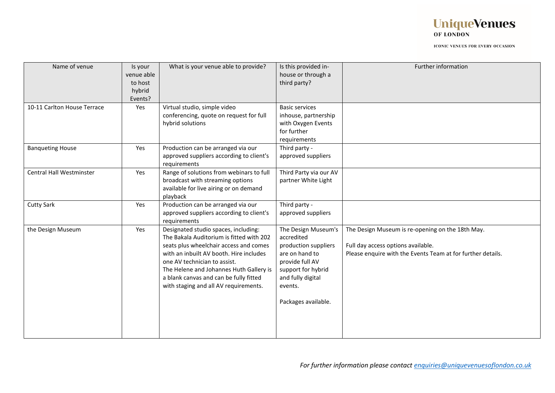

| Name of venue                   | Is your<br>venue able<br>to host<br>hybrid<br>Events? | What is your venue able to provide?                                                                                                                                                                                                                                                                                                 | Is this provided in-<br>house or through a<br>third party?                                                                                                                  | Further information                                                                                                                                   |
|---------------------------------|-------------------------------------------------------|-------------------------------------------------------------------------------------------------------------------------------------------------------------------------------------------------------------------------------------------------------------------------------------------------------------------------------------|-----------------------------------------------------------------------------------------------------------------------------------------------------------------------------|-------------------------------------------------------------------------------------------------------------------------------------------------------|
| 10-11 Carlton House Terrace     | Yes                                                   | Virtual studio, simple video<br>conferencing, quote on request for full<br>hybrid solutions                                                                                                                                                                                                                                         | <b>Basic services</b><br>inhouse, partnership<br>with Oxygen Events<br>for further<br>requirements                                                                          |                                                                                                                                                       |
| <b>Banqueting House</b>         | Yes                                                   | Production can be arranged via our<br>approved suppliers according to client's<br>requirements                                                                                                                                                                                                                                      | Third party -<br>approved suppliers                                                                                                                                         |                                                                                                                                                       |
| <b>Central Hall Westminster</b> | Yes                                                   | Range of solutions from webinars to full<br>broadcast with streaming options<br>available for live airing or on demand<br>playback                                                                                                                                                                                                  | Third Party via our AV<br>partner White Light                                                                                                                               |                                                                                                                                                       |
| <b>Cutty Sark</b>               | Yes                                                   | Production can be arranged via our<br>approved suppliers according to client's<br>requirements                                                                                                                                                                                                                                      | Third party -<br>approved suppliers                                                                                                                                         |                                                                                                                                                       |
| the Design Museum               | Yes                                                   | Designated studio spaces, including:<br>The Bakala Auditorium is fitted with 202<br>seats plus wheelchair access and comes<br>with an inbuilt AV booth. Hire includes<br>one AV technician to assist.<br>The Helene and Johannes Huth Gallery is<br>a blank canvas and can be fully fitted<br>with staging and all AV requirements. | The Design Museum's<br>accredited<br>production suppliers<br>are on hand to<br>provide full AV<br>support for hybrid<br>and fully digital<br>events.<br>Packages available. | The Design Museum is re-opening on the 18th May.<br>Full day access options available.<br>Please enquire with the Events Team at for further details. |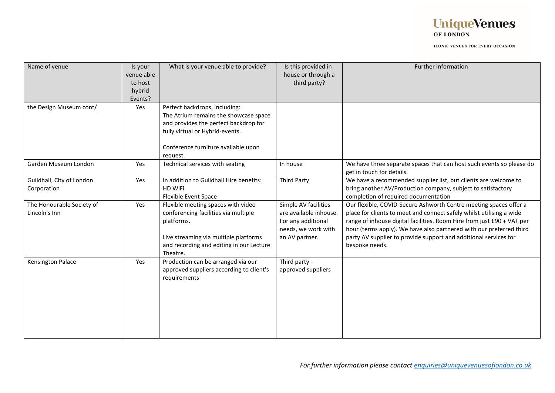

| Name of venue                              | Is your<br>venue able<br>to host<br>hybrid<br>Events? | What is your venue able to provide?                                                                                                                                                                   | Is this provided in-<br>house or through a<br>third party?                                                    | Further information                                                                                                                                                                                                                                                                                                                                                              |
|--------------------------------------------|-------------------------------------------------------|-------------------------------------------------------------------------------------------------------------------------------------------------------------------------------------------------------|---------------------------------------------------------------------------------------------------------------|----------------------------------------------------------------------------------------------------------------------------------------------------------------------------------------------------------------------------------------------------------------------------------------------------------------------------------------------------------------------------------|
| the Design Museum cont/                    | Yes                                                   | Perfect backdrops, including:<br>The Atrium remains the showcase space<br>and provides the perfect backdrop for<br>fully virtual or Hybrid-events.<br>Conference furniture available upon<br>request. |                                                                                                               |                                                                                                                                                                                                                                                                                                                                                                                  |
| Garden Museum London                       | Yes                                                   | Technical services with seating                                                                                                                                                                       | In house                                                                                                      | We have three separate spaces that can host such events so please do<br>get in touch for details.                                                                                                                                                                                                                                                                                |
| Guildhall, City of London<br>Corporation   | Yes                                                   | In addition to Guildhall Hire benefits:<br><b>HD WiFi</b><br><b>Flexible Event Space</b>                                                                                                              | <b>Third Party</b>                                                                                            | We have a recommended supplier list, but clients are welcome to<br>bring another AV/Production company, subject to satisfactory<br>completion of required documentation                                                                                                                                                                                                          |
| The Honourable Society of<br>Lincoln's Inn | Yes                                                   | Flexible meeting spaces with video<br>conferencing facilities via multiple<br>platforms.<br>Live streaming via multiple platforms<br>and recording and editing in our Lecture<br>Theatre.             | Simple AV facilities<br>are available inhouse.<br>For any additional<br>needs, we work with<br>an AV partner. | Our flexible, COVID-Secure Ashworth Centre meeting spaces offer a<br>place for clients to meet and connect safely whilst utilising a wide<br>range of inhouse digital facilities. Room Hire from just £90 + VAT per<br>hour (terms apply). We have also partnered with our preferred third<br>party AV supplier to provide support and additional services for<br>bespoke needs. |
| Kensington Palace                          | Yes                                                   | Production can be arranged via our<br>approved suppliers according to client's<br>requirements                                                                                                        | Third party -<br>approved suppliers                                                                           |                                                                                                                                                                                                                                                                                                                                                                                  |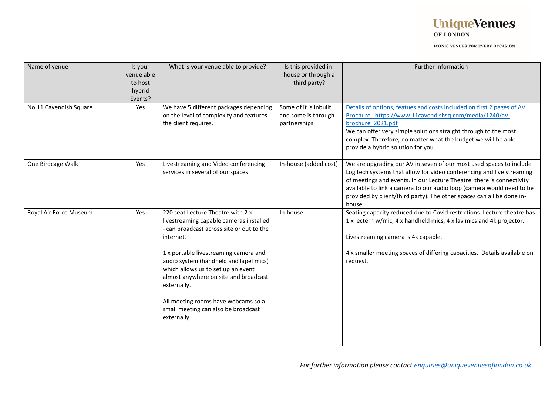

| Name of venue          | Is your<br>venue able<br>to host<br>hybrid<br>Events? | What is your venue able to provide?                                                                                                                                                                                                                                                                                                                                                                                  | Is this provided in-<br>house or through a<br>third party?   | Further information                                                                                                                                                                                                                                                                                                                                                               |
|------------------------|-------------------------------------------------------|----------------------------------------------------------------------------------------------------------------------------------------------------------------------------------------------------------------------------------------------------------------------------------------------------------------------------------------------------------------------------------------------------------------------|--------------------------------------------------------------|-----------------------------------------------------------------------------------------------------------------------------------------------------------------------------------------------------------------------------------------------------------------------------------------------------------------------------------------------------------------------------------|
| No.11 Cavendish Square | Yes                                                   | We have 5 different packages depending<br>on the level of complexity and features<br>the client requires.                                                                                                                                                                                                                                                                                                            | Some of it is inbuilt<br>and some is through<br>partnerships | Details of options, featues and costs included on first 2 pages of AV<br>Brochure https://www.11cavendishsq.com/media/1240/av-<br>brochure 2021.pdf<br>We can offer very simple solutions straight through to the most<br>complex. Therefore, no matter what the budget we will be able<br>provide a hybrid solution for you.                                                     |
| One Birdcage Walk      | Yes                                                   | Livestreaming and Video conferencing<br>services in several of our spaces                                                                                                                                                                                                                                                                                                                                            | In-house (added cost)                                        | We are upgrading our AV in seven of our most used spaces to include<br>Logitech systems that allow for video conferencing and live streaming<br>of meetings and events. In our Lecture Theatre, there is connectivity<br>available to link a camera to our audio loop (camera would need to be<br>provided by client/third party). The other spaces can all be done in-<br>house. |
| Royal Air Force Museum | Yes                                                   | 220 seat Lecture Theatre with 2 x<br>livestreaming capable cameras installed<br>- can broadcast across site or out to the<br>internet.<br>1 x portable livestreaming camera and<br>audio system (handheld and lapel mics)<br>which allows us to set up an event<br>almost anywhere on site and broadcast<br>externally.<br>All meeting rooms have webcams so a<br>small meeting can also be broadcast<br>externally. | In-house                                                     | Seating capacity reduced due to Covid restrictions. Lecture theatre has<br>1 x lectern w/mic, 4 x handheld mics, 4 x lav mics and 4k projector.<br>Livestreaming camera is 4k capable.<br>4 x smaller meeting spaces of differing capacities. Details available on<br>request.                                                                                                    |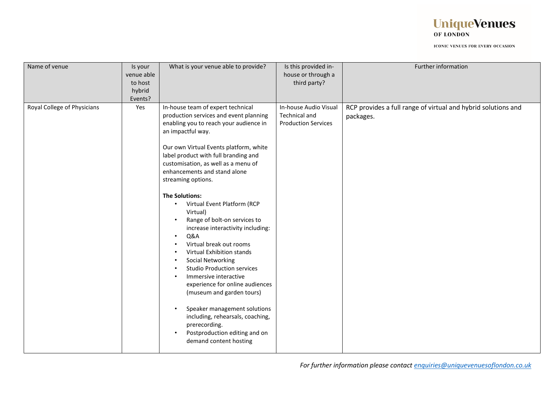

| Name of venue               | Is your    | What is your venue able to provide?                                                                                                                                                                                                                                                                                                                                                                                                                                                                                                                                                                                                                                                                                                                      | Is this provided in-                                                 | Further information                                                        |
|-----------------------------|------------|----------------------------------------------------------------------------------------------------------------------------------------------------------------------------------------------------------------------------------------------------------------------------------------------------------------------------------------------------------------------------------------------------------------------------------------------------------------------------------------------------------------------------------------------------------------------------------------------------------------------------------------------------------------------------------------------------------------------------------------------------------|----------------------------------------------------------------------|----------------------------------------------------------------------------|
|                             | venue able |                                                                                                                                                                                                                                                                                                                                                                                                                                                                                                                                                                                                                                                                                                                                                          | house or through a                                                   |                                                                            |
|                             | to host    |                                                                                                                                                                                                                                                                                                                                                                                                                                                                                                                                                                                                                                                                                                                                                          | third party?                                                         |                                                                            |
|                             | hybrid     |                                                                                                                                                                                                                                                                                                                                                                                                                                                                                                                                                                                                                                                                                                                                                          |                                                                      |                                                                            |
|                             | Events?    |                                                                                                                                                                                                                                                                                                                                                                                                                                                                                                                                                                                                                                                                                                                                                          |                                                                      |                                                                            |
| Royal College of Physicians | Yes        | In-house team of expert technical<br>production services and event planning<br>enabling you to reach your audience in<br>an impactful way.<br>Our own Virtual Events platform, white<br>label product with full branding and<br>customisation, as well as a menu of<br>enhancements and stand alone<br>streaming options.<br><b>The Solutions:</b><br>Virtual Event Platform (RCP<br>Virtual)<br>Range of bolt-on services to<br>increase interactivity including:<br>Q&A<br>Virtual break out rooms<br>Virtual Exhibition stands<br>Social Networking<br><b>Studio Production services</b><br>Immersive interactive<br>experience for online audiences<br>(museum and garden tours)<br>Speaker management solutions<br>including, rehearsals, coaching, | In-house Audio Visual<br>Technical and<br><b>Production Services</b> | RCP provides a full range of virtual and hybrid solutions and<br>packages. |
|                             |            | prerecording.<br>Postproduction editing and on<br>demand content hosting                                                                                                                                                                                                                                                                                                                                                                                                                                                                                                                                                                                                                                                                                 |                                                                      |                                                                            |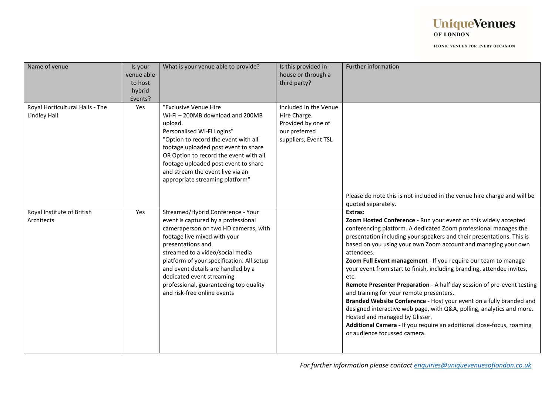

| Name of venue                                          | Is your<br>venue able<br>to host<br>hybrid<br>Events? | What is your venue able to provide?                                                                                                                                                                                                                                                                                                                                                                | Is this provided in-<br>house or through a<br>third party?                                           | Further information                                                                                                                                                                                                                                                                                                                                                                                                                                                                                                                                                                                                                                                                                                                                                                                                                                                          |
|--------------------------------------------------------|-------------------------------------------------------|----------------------------------------------------------------------------------------------------------------------------------------------------------------------------------------------------------------------------------------------------------------------------------------------------------------------------------------------------------------------------------------------------|------------------------------------------------------------------------------------------------------|------------------------------------------------------------------------------------------------------------------------------------------------------------------------------------------------------------------------------------------------------------------------------------------------------------------------------------------------------------------------------------------------------------------------------------------------------------------------------------------------------------------------------------------------------------------------------------------------------------------------------------------------------------------------------------------------------------------------------------------------------------------------------------------------------------------------------------------------------------------------------|
| Royal Horticultural Halls - The<br><b>Lindley Hall</b> | Yes                                                   | "Exclusive Venue Hire<br>Wi-Fi-200MB download and 200MB<br>upload.<br>Personalised WI-FI Logins"<br>"Option to record the event with all<br>footage uploaded post event to share<br>OR Option to record the event with all<br>footage uploaded post event to share<br>and stream the event live via an<br>appropriate streaming platform"                                                          | Included in the Venue<br>Hire Charge.<br>Provided by one of<br>our preferred<br>suppliers, Event TSL | Please do note this is not included in the venue hire charge and will be<br>quoted separately.                                                                                                                                                                                                                                                                                                                                                                                                                                                                                                                                                                                                                                                                                                                                                                               |
| Royal Institute of British<br>Architects               | Yes                                                   | Streamed/Hybrid Conference - Your<br>event is captured by a professional<br>cameraperson on two HD cameras, with<br>footage live mixed with your<br>presentations and<br>streamed to a video/social media<br>platform of your specification. All setup<br>and event details are handled by a<br>dedicated event streaming<br>professional, guaranteeing top quality<br>and risk-free online events |                                                                                                      | Extras:<br>Zoom Hosted Conference - Run your event on this widely accepted<br>conferencing platform. A dedicated Zoom professional manages the<br>presentation including your speakers and their presentations. This is<br>based on you using your own Zoom account and managing your own<br>attendees.<br>Zoom Full Event management - If you require our team to manage<br>your event from start to finish, including branding, attendee invites,<br>etc.<br>Remote Presenter Preparation - A half day session of pre-event testing<br>and training for your remote presenters.<br>Branded Website Conference - Host your event on a fully branded and<br>designed interactive web page, with Q&A, polling, analytics and more.<br>Hosted and managed by Glisser.<br>Additional Camera - If you require an additional close-focus, roaming<br>or audience focussed camera. |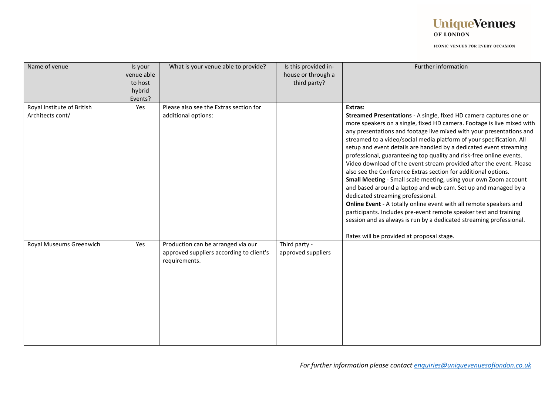## **UniqueVenues** OF LONDON

| Name of venue                                  | Is your<br>venue able<br>to host<br>hybrid<br>Events? | What is your venue able to provide?                                                             | Is this provided in-<br>house or through a<br>third party? | Further information                                                                                                                                                                                                                                                                                                                                                                                                                                                                                                                                                                                                                                                                                                                                                                                                                                                                                                                                                                                                                     |
|------------------------------------------------|-------------------------------------------------------|-------------------------------------------------------------------------------------------------|------------------------------------------------------------|-----------------------------------------------------------------------------------------------------------------------------------------------------------------------------------------------------------------------------------------------------------------------------------------------------------------------------------------------------------------------------------------------------------------------------------------------------------------------------------------------------------------------------------------------------------------------------------------------------------------------------------------------------------------------------------------------------------------------------------------------------------------------------------------------------------------------------------------------------------------------------------------------------------------------------------------------------------------------------------------------------------------------------------------|
| Royal Institute of British<br>Architects cont/ | Yes                                                   | Please also see the Extras section for<br>additional options:                                   |                                                            | Extras:<br>Streamed Presentations - A single, fixed HD camera captures one or<br>more speakers on a single, fixed HD camera. Footage is live mixed with<br>any presentations and footage live mixed with your presentations and<br>streamed to a video/social media platform of your specification. All<br>setup and event details are handled by a dedicated event streaming<br>professional, guaranteeing top quality and risk-free online events.<br>Video download of the event stream provided after the event. Please<br>also see the Conference Extras section for additional options.<br>Small Meeting - Small scale meeting, using your own Zoom account<br>and based around a laptop and web cam. Set up and managed by a<br>dedicated streaming professional.<br>Online Event - A totally online event with all remote speakers and<br>participants. Includes pre-event remote speaker test and training<br>session and as always is run by a dedicated streaming professional.<br>Rates will be provided at proposal stage. |
| Royal Museums Greenwich                        | Yes                                                   | Production can be arranged via our<br>approved suppliers according to client's<br>requirements. | Third party -<br>approved suppliers                        |                                                                                                                                                                                                                                                                                                                                                                                                                                                                                                                                                                                                                                                                                                                                                                                                                                                                                                                                                                                                                                         |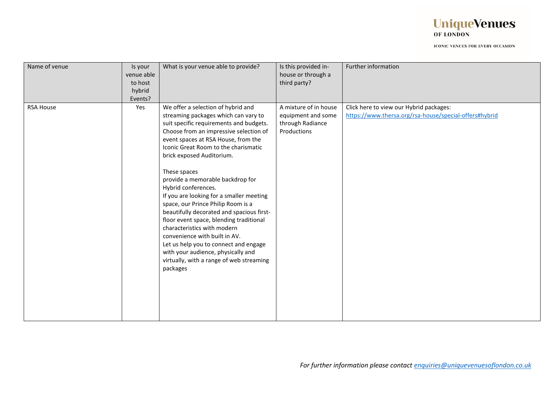

| Name of venue    | Is your<br>venue able<br>to host<br>hybrid<br>Events? | What is your venue able to provide?                                                                                                                                                                                                                                                                                                                                                                                                                                                                                                                                                                                                                                                                                                     | Is this provided in-<br>house or through a<br>third party?                     | Further information                                                                               |
|------------------|-------------------------------------------------------|-----------------------------------------------------------------------------------------------------------------------------------------------------------------------------------------------------------------------------------------------------------------------------------------------------------------------------------------------------------------------------------------------------------------------------------------------------------------------------------------------------------------------------------------------------------------------------------------------------------------------------------------------------------------------------------------------------------------------------------------|--------------------------------------------------------------------------------|---------------------------------------------------------------------------------------------------|
| <b>RSA House</b> | Yes                                                   | We offer a selection of hybrid and<br>streaming packages which can vary to<br>suit specific requirements and budgets.<br>Choose from an impressive selection of<br>event spaces at RSA House, from the<br>Iconic Great Room to the charismatic<br>brick exposed Auditorium.<br>These spaces<br>provide a memorable backdrop for<br>Hybrid conferences.<br>If you are looking for a smaller meeting<br>space, our Prince Philip Room is a<br>beautifully decorated and spacious first-<br>floor event space, blending traditional<br>characteristics with modern<br>convenience with built in AV.<br>Let us help you to connect and engage<br>with your audience, physically and<br>virtually, with a range of web streaming<br>packages | A mixture of in house<br>equipment and some<br>through Radiance<br>Productions | Click here to view our Hybrid packages:<br>https://www.thersa.org/rsa-house/special-offers#hybrid |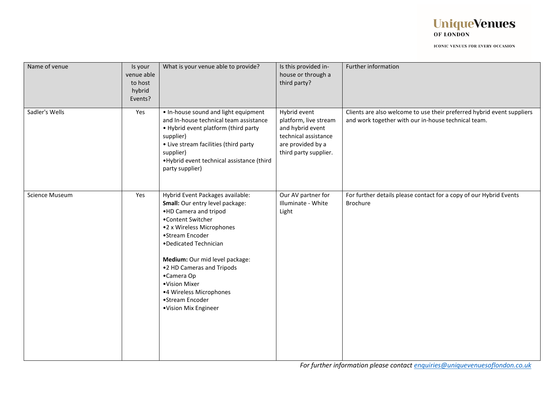

| Name of venue         | Is your<br>venue able<br>to host<br>hybrid<br>Events? | What is your venue able to provide?                                                                                                                                                                                                                                                                                                                            | Is this provided in-<br>house or through a<br>third party?                                                                      | Further information                                                                                                           |
|-----------------------|-------------------------------------------------------|----------------------------------------------------------------------------------------------------------------------------------------------------------------------------------------------------------------------------------------------------------------------------------------------------------------------------------------------------------------|---------------------------------------------------------------------------------------------------------------------------------|-------------------------------------------------------------------------------------------------------------------------------|
| Sadler's Wells        | Yes                                                   | . In-house sound and light equipment<br>and In-house technical team assistance<br>• Hybrid event platform (third party<br>supplier)<br>• Live stream facilities (third party<br>supplier)<br>.Hybrid event technical assistance (third<br>party supplier)                                                                                                      | Hybrid event<br>platform, live stream<br>and hybrid event<br>technical assistance<br>are provided by a<br>third party supplier. | Clients are also welcome to use their preferred hybrid event suppliers<br>and work together with our in-house technical team. |
| <b>Science Museum</b> | Yes                                                   | Hybrid Event Packages available:<br>Small: Our entry level package:<br>.HD Camera and tripod<br>•Content Switcher<br>•2 x Wireless Microphones<br>•Stream Encoder<br>•Dedicated Technician<br>Medium: Our mid level package:<br>.2 HD Cameras and Tripods<br>•Camera Op<br>•Vision Mixer<br>•4 Wireless Microphones<br>•Stream Encoder<br>•Vision Mix Engineer | Our AV partner for<br>Illuminate - White<br>Light                                                                               | For further details please contact for a copy of our Hybrid Events<br>Brochure                                                |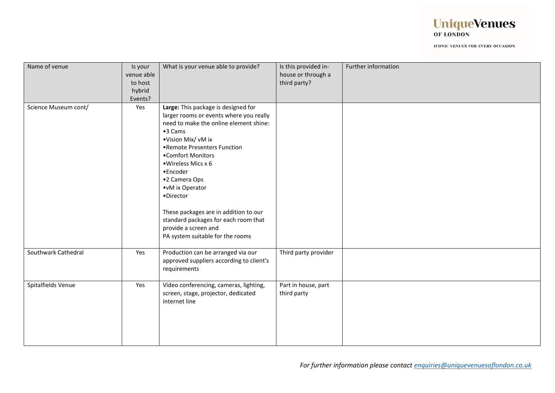

| Name of venue        | Is your<br>venue able<br>to host<br>hybrid<br>Events? | What is your venue able to provide?                                                                                                                                                                                                                                                                                                                                                                                                            | Is this provided in-<br>house or through a<br>third party? | Further information |
|----------------------|-------------------------------------------------------|------------------------------------------------------------------------------------------------------------------------------------------------------------------------------------------------------------------------------------------------------------------------------------------------------------------------------------------------------------------------------------------------------------------------------------------------|------------------------------------------------------------|---------------------|
| Science Museum cont/ | Yes                                                   | Large: This package is designed for<br>larger rooms or events where you really<br>need to make the online element shine:<br>•3 Cams<br>•Vision Mix/ vM ix<br>•Remote Presenters Function<br>•Comfort Monitors<br>• Wireless Mics x 6<br>•Encoder<br>•2 Camera Ops<br>•vM ix Operator<br>·Director<br>These packages are in addition to our<br>standard packages for each room that<br>provide a screen and<br>PA system suitable for the rooms |                                                            |                     |
| Southwark Cathedral  | Yes                                                   | Production can be arranged via our<br>approved suppliers according to client's<br>requirements                                                                                                                                                                                                                                                                                                                                                 | Third party provider                                       |                     |
| Spitalfields Venue   | Yes                                                   | Video conferencing, cameras, lighting,<br>screen, stage, projector, dedicated<br>internet line                                                                                                                                                                                                                                                                                                                                                 | Part in house, part<br>third party                         |                     |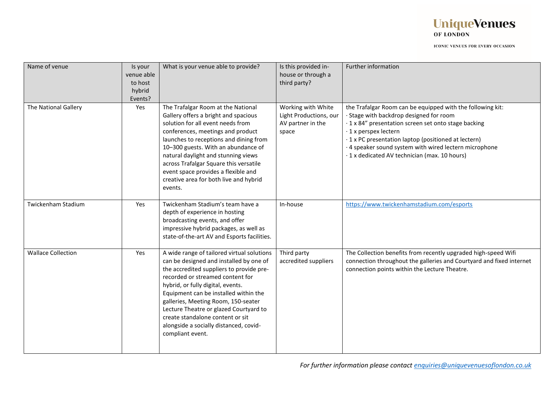

| Name of venue             | Is your<br>venue able<br>to host<br>hybrid<br>Events? | What is your venue able to provide?                                                                                                                                                                                                                                                                                                                                                                                                    | Is this provided in-<br>house or through a<br>third party?                 | Further information                                                                                                                                                                                                                                                                                                                                       |
|---------------------------|-------------------------------------------------------|----------------------------------------------------------------------------------------------------------------------------------------------------------------------------------------------------------------------------------------------------------------------------------------------------------------------------------------------------------------------------------------------------------------------------------------|----------------------------------------------------------------------------|-----------------------------------------------------------------------------------------------------------------------------------------------------------------------------------------------------------------------------------------------------------------------------------------------------------------------------------------------------------|
| The National Gallery      | Yes                                                   | The Trafalgar Room at the National<br>Gallery offers a bright and spacious<br>solution for all event needs from<br>conferences, meetings and product<br>launches to receptions and dining from<br>10-300 guests. With an abundance of<br>natural daylight and stunning views<br>across Trafalgar Square this versatile<br>event space provides a flexible and<br>creative area for both live and hybrid<br>events.                     | Working with White<br>Light Productions, our<br>AV partner in the<br>space | the Trafalgar Room can be equipped with the following kit:<br>· Stage with backdrop designed for room<br>· 1 x 84" presentation screen set onto stage backing<br>· 1 x perspex lectern<br>· 1 x PC presentation laptop (positioned at lectern)<br>· 4 speaker sound system with wired lectern microphone<br>· 1 x dedicated AV technician (max. 10 hours) |
| Twickenham Stadium        | Yes                                                   | Twickenham Stadium's team have a<br>depth of experience in hosting<br>broadcasting events, and offer<br>impressive hybrid packages, as well as<br>state-of-the-art AV and Esports facilities.                                                                                                                                                                                                                                          | In-house                                                                   | https://www.twickenhamstadium.com/esports                                                                                                                                                                                                                                                                                                                 |
| <b>Wallace Collection</b> | Yes                                                   | A wide range of tailored virtual solutions<br>can be designed and installed by one of<br>the accredited suppliers to provide pre-<br>recorded or streamed content for<br>hybrid, or fully digital, events.<br>Equipment can be installed within the<br>galleries, Meeting Room, 150-seater<br>Lecture Theatre or glazed Courtyard to<br>create standalone content or sit<br>alongside a socially distanced, covid-<br>compliant event. | Third party<br>accredited suppliers                                        | The Collection benefits from recently upgraded high-speed Wifi<br>connection throughout the galleries and Courtyard and fixed internet<br>connection points within the Lecture Theatre.                                                                                                                                                                   |